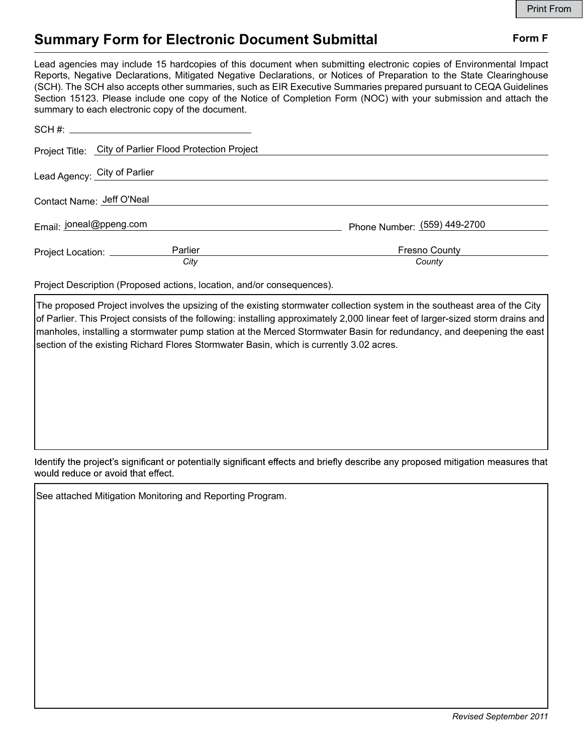# Summary Form for Electronic Document Submittal Form F

|                                                                                                                                                                                                                                                                                                                                                                                                                                                                                                                                           | <b>Print From</b>            |
|-------------------------------------------------------------------------------------------------------------------------------------------------------------------------------------------------------------------------------------------------------------------------------------------------------------------------------------------------------------------------------------------------------------------------------------------------------------------------------------------------------------------------------------------|------------------------------|
| <b>Summary Form for Electronic Document Submittal</b>                                                                                                                                                                                                                                                                                                                                                                                                                                                                                     | Form F                       |
| Lead agencies may include 15 hardcopies of this document when submitting electronic copies of Environmental Impact<br>Reports, Negative Declarations, Mitigated Negative Declarations, or Notices of Preparation to the State Clearinghouse<br>(SCH). The SCH also accepts other summaries, such as EIR Executive Summaries prepared pursuant to CEQA Guidelines<br>Section 15123. Please include one copy of the Notice of Completion Form (NOC) with your submission and attach the<br>summary to each electronic copy of the document. |                              |
|                                                                                                                                                                                                                                                                                                                                                                                                                                                                                                                                           |                              |
| Project Title: City of Parlier Flood Protection Project                                                                                                                                                                                                                                                                                                                                                                                                                                                                                   |                              |
| Lead Agency: City of Parlier                                                                                                                                                                                                                                                                                                                                                                                                                                                                                                              |                              |
| Contact Name: Jeff O'Neal                                                                                                                                                                                                                                                                                                                                                                                                                                                                                                                 |                              |
| Email: joneal@ppeng.com                                                                                                                                                                                                                                                                                                                                                                                                                                                                                                                   | Phone Number: (559) 449-2700 |
| Parlier<br>Project Location: __________                                                                                                                                                                                                                                                                                                                                                                                                                                                                                                   | Fresno County                |
| City                                                                                                                                                                                                                                                                                                                                                                                                                                                                                                                                      | County                       |
| Project Description (Proposed actions, location, and/or consequences).                                                                                                                                                                                                                                                                                                                                                                                                                                                                    |                              |

The proposed Project involves the upsizing of the existing stormwater collection system in the southeast area of the City of Parlier. This Project consists of the following: installing approximately 2,000 linear feet of larger-sized storm drains and manholes, installing a stormwater pump station at the Merced Stormwater Basin for redundancy, and deepening the east section of the existing Richard Flores Stormwater Basin, which is currently 3.02 acres.

Identify the project's significant or potentially significant effects and briefly describe any proposed mitigation measures that would reduce or avoid that effect.

See attached Mitigation Monitoring and Reporting Program.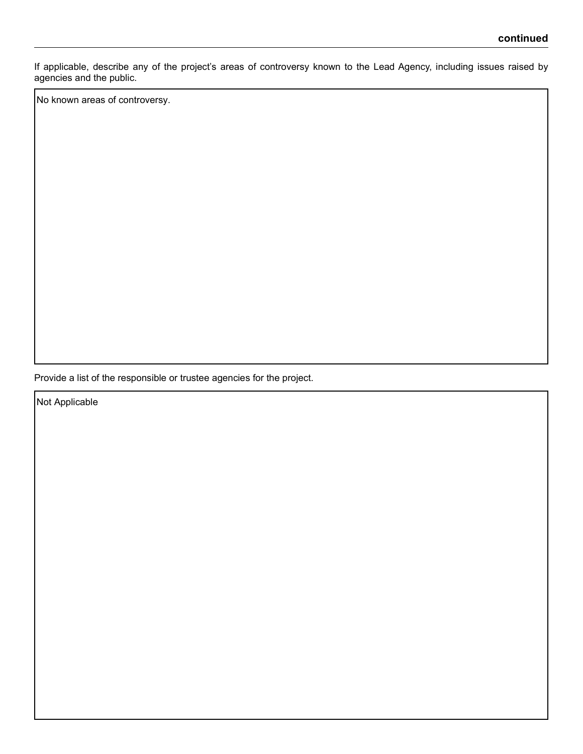If applicable, describe any of the project's areas of controversy known to the Lead Agency, including issues raised by agencies and the public.

No known areas of controversy.

Provide a list of the responsible or trustee agencies for the project.

Not Applicable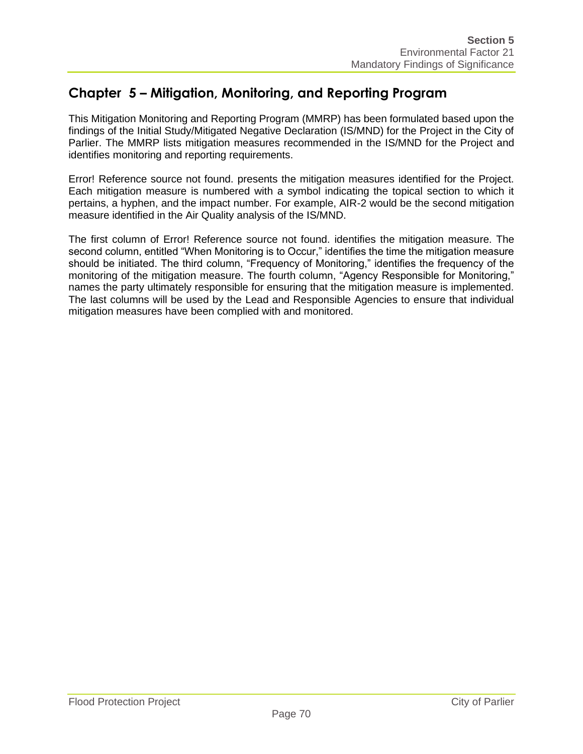## **Chapter 5 – Mitigation, Monitoring, and Reporting Program**

This Mitigation Monitoring and Reporting Program (MMRP) has been formulated based upon the findings of the Initial Study/Mitigated Negative Declaration (IS/MND) for the Project in the City of Parlier. The MMRP lists mitigation measures recommended in the IS/MND for the Project and identifies monitoring and reporting requirements.

Error! Reference source not found. presents the mitigation measures identified for the Project. Each mitigation measure is numbered with a symbol indicating the topical section to which it pertains, a hyphen, and the impact number. For example, AIR-2 would be the second mitigation measure identified in the Air Quality analysis of the IS/MND.

The first column of Error! Reference source not found. identifies the mitigation measure. The second column, entitled "When Monitoring is to Occur," identifies the time the mitigation measure should be initiated. The third column, "Frequency of Monitoring," identifies the frequency of the monitoring of the mitigation measure. The fourth column, "Agency Responsible for Monitoring," names the party ultimately responsible for ensuring that the mitigation measure is implemented. The last columns will be used by the Lead and Responsible Agencies to ensure that individual mitigation measures have been complied with and monitored.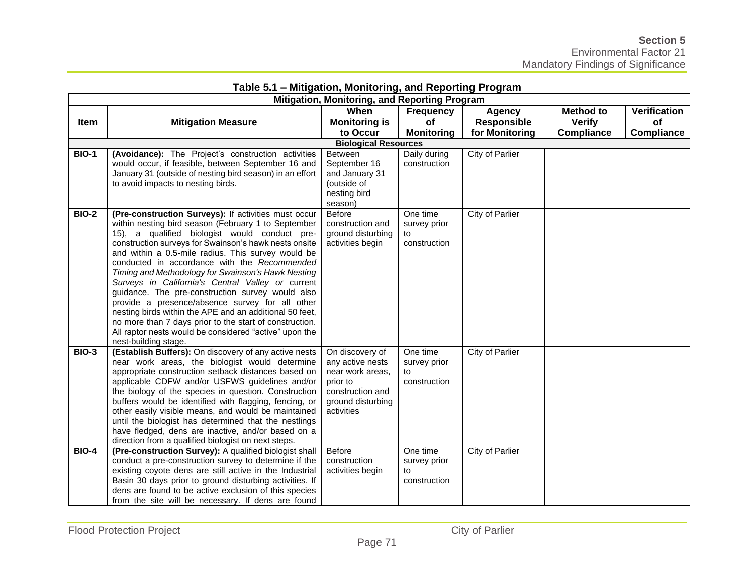| Table 5.1 – Milligation, Monitoring, and Reporting Program<br>Mitigation, Monitoring, and Reporting Program |                                                                                                             |                                   |                    |                        |                   |                     |
|-------------------------------------------------------------------------------------------------------------|-------------------------------------------------------------------------------------------------------------|-----------------------------------|--------------------|------------------------|-------------------|---------------------|
|                                                                                                             |                                                                                                             | When                              |                    |                        |                   |                     |
|                                                                                                             |                                                                                                             |                                   | Frequency          | <b>Agency</b>          | <b>Method to</b>  | <b>Verification</b> |
| Item                                                                                                        | <b>Mitigation Measure</b>                                                                                   | <b>Monitoring is</b>              | <b>of</b>          | <b>Responsible</b>     | <b>Verify</b>     | of                  |
|                                                                                                             |                                                                                                             | to Occur                          | <b>Monitoring</b>  | for Monitoring         | <b>Compliance</b> | <b>Compliance</b>   |
|                                                                                                             |                                                                                                             | <b>Biological Resources</b>       |                    |                        |                   |                     |
| <b>BIO-1</b>                                                                                                | (Avoidance): The Project's construction activities                                                          | <b>Between</b>                    | Daily during       | <b>City of Parlier</b> |                   |                     |
|                                                                                                             | would occur, if feasible, between September 16 and                                                          | September 16                      | construction       |                        |                   |                     |
|                                                                                                             | January 31 (outside of nesting bird season) in an effort                                                    | and January 31                    |                    |                        |                   |                     |
|                                                                                                             | to avoid impacts to nesting birds.                                                                          | (outside of                       |                    |                        |                   |                     |
|                                                                                                             |                                                                                                             | nesting bird                      |                    |                        |                   |                     |
|                                                                                                             |                                                                                                             | season)                           |                    |                        |                   |                     |
| <b>BIO-2</b>                                                                                                | (Pre-construction Surveys): If activities must occur<br>within nesting bird season (February 1 to September | <b>Before</b><br>construction and | One time           | City of Parlier        |                   |                     |
|                                                                                                             | 15), a qualified biologist would conduct pre-                                                               | ground disturbing                 | survey prior<br>to |                        |                   |                     |
|                                                                                                             | construction surveys for Swainson's hawk nests onsite                                                       | activities begin                  | construction       |                        |                   |                     |
|                                                                                                             | and within a 0.5-mile radius. This survey would be                                                          |                                   |                    |                        |                   |                     |
|                                                                                                             | conducted in accordance with the Recommended                                                                |                                   |                    |                        |                   |                     |
|                                                                                                             | Timing and Methodology for Swainson's Hawk Nesting                                                          |                                   |                    |                        |                   |                     |
|                                                                                                             | Surveys in California's Central Valley or current                                                           |                                   |                    |                        |                   |                     |
|                                                                                                             | guidance. The pre-construction survey would also                                                            |                                   |                    |                        |                   |                     |
|                                                                                                             | provide a presence/absence survey for all other                                                             |                                   |                    |                        |                   |                     |
|                                                                                                             | nesting birds within the APE and an additional 50 feet,                                                     |                                   |                    |                        |                   |                     |
|                                                                                                             | no more than 7 days prior to the start of construction.                                                     |                                   |                    |                        |                   |                     |
|                                                                                                             | All raptor nests would be considered "active" upon the                                                      |                                   |                    |                        |                   |                     |
|                                                                                                             | nest-building stage.                                                                                        |                                   |                    |                        |                   |                     |
| <b>BIO-3</b>                                                                                                | (Establish Buffers): On discovery of any active nests                                                       | On discovery of                   | One time           | City of Parlier        |                   |                     |
|                                                                                                             | near work areas, the biologist would determine                                                              | any active nests                  | survey prior       |                        |                   |                     |
|                                                                                                             | appropriate construction setback distances based on                                                         | near work areas,                  | to                 |                        |                   |                     |
|                                                                                                             | applicable CDFW and/or USFWS guidelines and/or                                                              | prior to                          | construction       |                        |                   |                     |
|                                                                                                             | the biology of the species in question. Construction                                                        | construction and                  |                    |                        |                   |                     |
|                                                                                                             | buffers would be identified with flagging, fencing, or                                                      | ground disturbing                 |                    |                        |                   |                     |
|                                                                                                             | other easily visible means, and would be maintained                                                         | activities                        |                    |                        |                   |                     |
|                                                                                                             | until the biologist has determined that the nestlings                                                       |                                   |                    |                        |                   |                     |
|                                                                                                             | have fledged, dens are inactive, and/or based on a                                                          |                                   |                    |                        |                   |                     |
|                                                                                                             | direction from a qualified biologist on next steps.                                                         |                                   |                    |                        |                   |                     |
| <b>BIO-4</b>                                                                                                | (Pre-construction Survey): A qualified biologist shall                                                      | <b>Before</b>                     | One time           | <b>City of Parlier</b> |                   |                     |
|                                                                                                             | conduct a pre-construction survey to determine if the                                                       | construction                      | survey prior       |                        |                   |                     |
|                                                                                                             | existing coyote dens are still active in the Industrial                                                     | activities begin                  | to                 |                        |                   |                     |
|                                                                                                             | Basin 30 days prior to ground disturbing activities. If                                                     |                                   | construction       |                        |                   |                     |
|                                                                                                             | dens are found to be active exclusion of this species                                                       |                                   |                    |                        |                   |                     |
|                                                                                                             | from the site will be necessary. If dens are found                                                          |                                   |                    |                        |                   |                     |

## **Table 5.1 – Mitigation, Monitoring, and Reporting Program**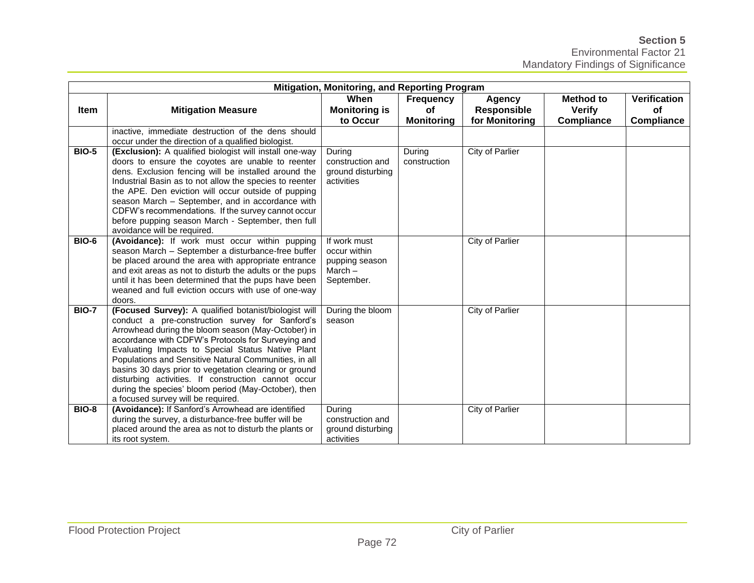### **Section 5**  Environmental Factor 21 Mandatory Findings of Significance

|              | <b>Mitigation, Monitoring, and Reporting Program</b>                                                                                                                                                                                                                                                                                                                                                                                                                                                                                             |                                                                           |                                             |                                                       |                                                        |                                         |  |  |
|--------------|--------------------------------------------------------------------------------------------------------------------------------------------------------------------------------------------------------------------------------------------------------------------------------------------------------------------------------------------------------------------------------------------------------------------------------------------------------------------------------------------------------------------------------------------------|---------------------------------------------------------------------------|---------------------------------------------|-------------------------------------------------------|--------------------------------------------------------|-----------------------------------------|--|--|
| Item         | <b>Mitigation Measure</b>                                                                                                                                                                                                                                                                                                                                                                                                                                                                                                                        | When<br><b>Monitoring is</b><br>to Occur                                  | Frequency<br><b>of</b><br><b>Monitoring</b> | <b>Agency</b><br><b>Responsible</b><br>for Monitoring | <b>Method to</b><br><b>Verify</b><br><b>Compliance</b> | <b>Verification</b><br>of<br>Compliance |  |  |
|              | inactive, immediate destruction of the dens should<br>occur under the direction of a qualified biologist.                                                                                                                                                                                                                                                                                                                                                                                                                                        |                                                                           |                                             |                                                       |                                                        |                                         |  |  |
| <b>BIO-5</b> | (Exclusion): A qualified biologist will install one-way<br>doors to ensure the coyotes are unable to reenter<br>dens. Exclusion fencing will be installed around the<br>Industrial Basin as to not allow the species to reenter<br>the APE. Den eviction will occur outside of pupping<br>season March - September, and in accordance with<br>CDFW's recommendations. If the survey cannot occur<br>before pupping season March - September, then full<br>avoidance will be required.                                                            | During<br>construction and<br>ground disturbing<br>activities             | During<br>construction                      | City of Parlier                                       |                                                        |                                         |  |  |
| <b>BIO-6</b> | (Avoidance): If work must occur within pupping<br>season March - September a disturbance-free buffer<br>be placed around the area with appropriate entrance<br>and exit areas as not to disturb the adults or the pups<br>until it has been determined that the pups have been<br>weaned and full eviction occurs with use of one-way<br>doors.                                                                                                                                                                                                  | If work must<br>occur within<br>pupping season<br>March $-$<br>September. |                                             | City of Parlier                                       |                                                        |                                         |  |  |
| <b>BIO-7</b> | (Focused Survey): A qualified botanist/biologist will<br>conduct a pre-construction survey for Sanford's<br>Arrowhead during the bloom season (May-October) in<br>accordance with CDFW's Protocols for Surveying and<br>Evaluating Impacts to Special Status Native Plant<br>Populations and Sensitive Natural Communities, in all<br>basins 30 days prior to vegetation clearing or ground<br>disturbing activities. If construction cannot occur<br>during the species' bloom period (May-October), then<br>a focused survey will be required. | During the bloom<br>season                                                |                                             | City of Parlier                                       |                                                        |                                         |  |  |
| <b>BIO-8</b> | (Avoidance): If Sanford's Arrowhead are identified<br>during the survey, a disturbance-free buffer will be<br>placed around the area as not to disturb the plants or<br>its root system.                                                                                                                                                                                                                                                                                                                                                         | During<br>construction and<br>ground disturbing<br>activities             |                                             | City of Parlier                                       |                                                        |                                         |  |  |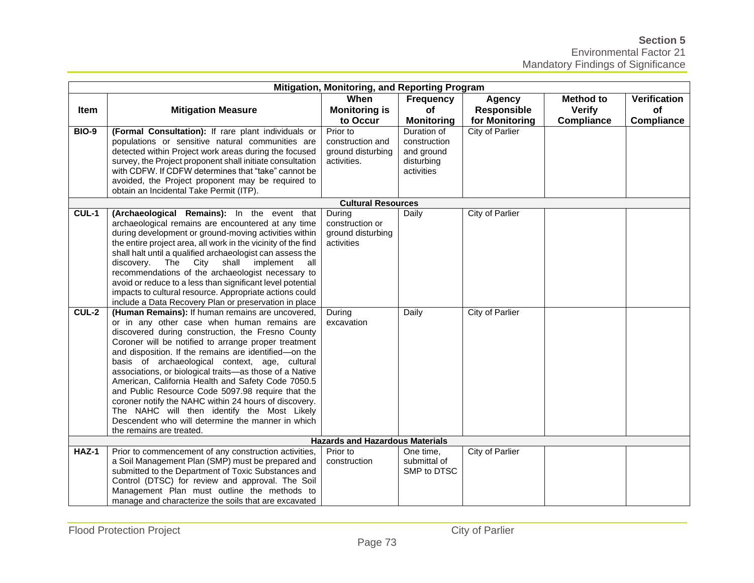**Section 5** 

|                                        | Mitigation, Monitoring, and Reporting Program                                                                                                                                                                                                                                                                                                                                                                                                                                                                                                                                                                                                                                          |                                                                  |                                                                       |                                     |                                   |                                  |  |
|----------------------------------------|----------------------------------------------------------------------------------------------------------------------------------------------------------------------------------------------------------------------------------------------------------------------------------------------------------------------------------------------------------------------------------------------------------------------------------------------------------------------------------------------------------------------------------------------------------------------------------------------------------------------------------------------------------------------------------------|------------------------------------------------------------------|-----------------------------------------------------------------------|-------------------------------------|-----------------------------------|----------------------------------|--|
| Item                                   | <b>Mitigation Measure</b>                                                                                                                                                                                                                                                                                                                                                                                                                                                                                                                                                                                                                                                              | When<br><b>Monitoring is</b>                                     | <b>Frequency</b><br>of                                                | <b>Agency</b><br><b>Responsible</b> | <b>Method to</b><br><b>Verify</b> | <b>Verification</b><br><b>of</b> |  |
|                                        |                                                                                                                                                                                                                                                                                                                                                                                                                                                                                                                                                                                                                                                                                        | to Occur                                                         | <b>Monitoring</b>                                                     | for Monitoring                      | <b>Compliance</b>                 | Compliance                       |  |
| <b>BIO-9</b>                           | (Formal Consultation): If rare plant individuals or<br>populations or sensitive natural communities are<br>detected within Project work areas during the focused<br>survey, the Project proponent shall initiate consultation<br>with CDFW. If CDFW determines that "take" cannot be<br>avoided, the Project proponent may be required to<br>obtain an Incidental Take Permit (ITP).                                                                                                                                                                                                                                                                                                   | Prior to<br>construction and<br>ground disturbing<br>activities. | Duration of<br>construction<br>and ground<br>disturbing<br>activities | <b>City of Parlier</b>              |                                   |                                  |  |
|                                        |                                                                                                                                                                                                                                                                                                                                                                                                                                                                                                                                                                                                                                                                                        | <b>Cultural Resources</b>                                        |                                                                       |                                     |                                   |                                  |  |
| CUL-1                                  | (Archaeological Remains): In the event that<br>archaeological remains are encountered at any time<br>during development or ground-moving activities within<br>the entire project area, all work in the vicinity of the find<br>shall halt until a qualified archaeologist can assess the<br>discovery. The City<br>shall<br>implement<br>all<br>recommendations of the archaeologist necessary to<br>avoid or reduce to a less than significant level potential<br>impacts to cultural resource. Appropriate actions could<br>include a Data Recovery Plan or preservation in place                                                                                                    | During<br>construction or<br>ground disturbing<br>activities     | Daily                                                                 | City of Parlier                     |                                   |                                  |  |
| CUL-2                                  | (Human Remains): If human remains are uncovered,<br>or in any other case when human remains are<br>discovered during construction, the Fresno County<br>Coroner will be notified to arrange proper treatment<br>and disposition. If the remains are identified-on the<br>basis of archaeological context, age, cultural<br>associations, or biological traits-as those of a Native<br>American, California Health and Safety Code 7050.5<br>and Public Resource Code 5097.98 require that the<br>coroner notify the NAHC within 24 hours of discovery.<br>The NAHC will then identify the Most Likely<br>Descendent who will determine the manner in which<br>the remains are treated. | During<br>excavation                                             | Daily                                                                 | City of Parlier                     |                                   |                                  |  |
| <b>Hazards and Hazardous Materials</b> |                                                                                                                                                                                                                                                                                                                                                                                                                                                                                                                                                                                                                                                                                        |                                                                  |                                                                       |                                     |                                   |                                  |  |
| HAZ-1                                  | Prior to commencement of any construction activities,<br>a Soil Management Plan (SMP) must be prepared and<br>submitted to the Department of Toxic Substances and<br>Control (DTSC) for review and approval. The Soil<br>Management Plan must outline the methods to<br>manage and characterize the soils that are excavated                                                                                                                                                                                                                                                                                                                                                           | Prior to<br>construction                                         | One time,<br>submittal of<br>SMP to DTSC                              | City of Parlier                     |                                   |                                  |  |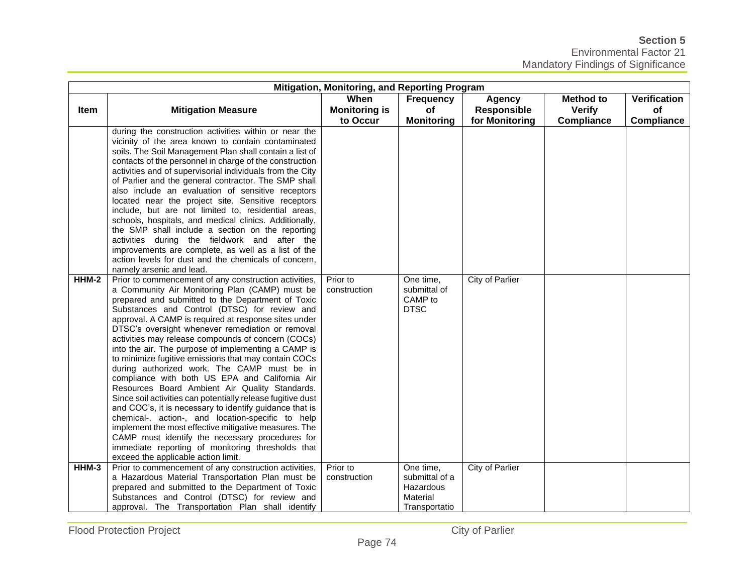**Section 5**  Environmental Factor 21 Mandatory Findings of Significance

| Mitigation, Monitoring, and Reporting Program |                                                                                                                                                                                                                                                                                                                                                                                                                                                                                                                                                                                                                                                                                                                                                                                                                                                                                                                                                                                                                                         |                                          |                                                                       |                                                       |                                                        |                                                |
|-----------------------------------------------|-----------------------------------------------------------------------------------------------------------------------------------------------------------------------------------------------------------------------------------------------------------------------------------------------------------------------------------------------------------------------------------------------------------------------------------------------------------------------------------------------------------------------------------------------------------------------------------------------------------------------------------------------------------------------------------------------------------------------------------------------------------------------------------------------------------------------------------------------------------------------------------------------------------------------------------------------------------------------------------------------------------------------------------------|------------------------------------------|-----------------------------------------------------------------------|-------------------------------------------------------|--------------------------------------------------------|------------------------------------------------|
| <b>Item</b>                                   | <b>Mitigation Measure</b>                                                                                                                                                                                                                                                                                                                                                                                                                                                                                                                                                                                                                                                                                                                                                                                                                                                                                                                                                                                                               | When<br><b>Monitoring is</b><br>to Occur | <b>Frequency</b><br><b>of</b><br><b>Monitoring</b>                    | <b>Agency</b><br><b>Responsible</b><br>for Monitoring | <b>Method to</b><br><b>Verify</b><br><b>Compliance</b> | <b>Verification</b><br>of<br><b>Compliance</b> |
|                                               | during the construction activities within or near the<br>vicinity of the area known to contain contaminated<br>soils. The Soil Management Plan shall contain a list of<br>contacts of the personnel in charge of the construction<br>activities and of supervisorial individuals from the City<br>of Parlier and the general contractor. The SMP shall<br>also include an evaluation of sensitive receptors<br>located near the project site. Sensitive receptors<br>include, but are not limited to, residential areas,<br>schools, hospitals, and medical clinics. Additionally,<br>the SMP shall include a section on the reporting<br>activities during the fieldwork and after the<br>improvements are complete, as well as a list of the<br>action levels for dust and the chemicals of concern,<br>namely arsenic and lead.                                                                                                                                                                                                      |                                          |                                                                       |                                                       |                                                        |                                                |
| HHM-2                                         | Prior to commencement of any construction activities,<br>a Community Air Monitoring Plan (CAMP) must be<br>prepared and submitted to the Department of Toxic<br>Substances and Control (DTSC) for review and<br>approval. A CAMP is required at response sites under<br>DTSC's oversight whenever remediation or removal<br>activities may release compounds of concern (COCs)<br>into the air. The purpose of implementing a CAMP is<br>to minimize fugitive emissions that may contain COCs<br>during authorized work. The CAMP must be in<br>compliance with both US EPA and California Air<br>Resources Board Ambient Air Quality Standards.<br>Since soil activities can potentially release fugitive dust<br>and COC's, it is necessary to identify guidance that is<br>chemical-, action-, and location-specific to help<br>implement the most effective mitigative measures. The<br>CAMP must identify the necessary procedures for<br>immediate reporting of monitoring thresholds that<br>exceed the applicable action limit. | Prior to<br>construction                 | One time,<br>submittal of<br>CAMP to<br><b>DTSC</b>                   | City of Parlier                                       |                                                        |                                                |
| HHM-3                                         | Prior to commencement of any construction activities,<br>a Hazardous Material Transportation Plan must be<br>prepared and submitted to the Department of Toxic<br>Substances and Control (DTSC) for review and<br>approval. The Transportation Plan shall identify                                                                                                                                                                                                                                                                                                                                                                                                                                                                                                                                                                                                                                                                                                                                                                      | Prior to<br>construction                 | One time,<br>submittal of a<br>Hazardous<br>Material<br>Transportatio | <b>City of Parlier</b>                                |                                                        |                                                |